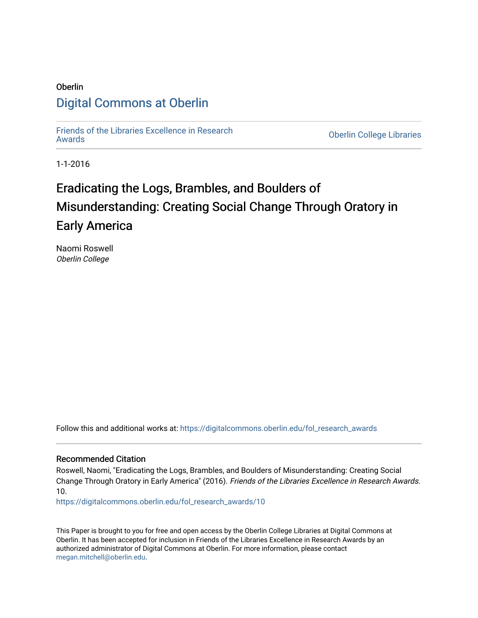# Oberlin [Digital Commons at Oberlin](https://digitalcommons.oberlin.edu/)

[Friends of the Libraries Excellence in Research](https://digitalcommons.oberlin.edu/fol_research_awards)

**Oberlin College Libraries** 

1-1-2016

# Eradicating the Logs, Brambles, and Boulders of Misunderstanding: Creating Social Change Through Oratory in Early America

Naomi Roswell Oberlin College

Follow this and additional works at: [https://digitalcommons.oberlin.edu/fol\\_research\\_awards](https://digitalcommons.oberlin.edu/fol_research_awards?utm_source=digitalcommons.oberlin.edu%2Ffol_research_awards%2F10&utm_medium=PDF&utm_campaign=PDFCoverPages)

#### Recommended Citation

Roswell, Naomi, "Eradicating the Logs, Brambles, and Boulders of Misunderstanding: Creating Social Change Through Oratory in Early America" (2016). Friends of the Libraries Excellence in Research Awards. 10.

[https://digitalcommons.oberlin.edu/fol\\_research\\_awards/10](https://digitalcommons.oberlin.edu/fol_research_awards/10?utm_source=digitalcommons.oberlin.edu%2Ffol_research_awards%2F10&utm_medium=PDF&utm_campaign=PDFCoverPages) 

This Paper is brought to you for free and open access by the Oberlin College Libraries at Digital Commons at Oberlin. It has been accepted for inclusion in Friends of the Libraries Excellence in Research Awards by an authorized administrator of Digital Commons at Oberlin. For more information, please contact [megan.mitchell@oberlin.edu](mailto:megan.mitchell@oberlin.edu).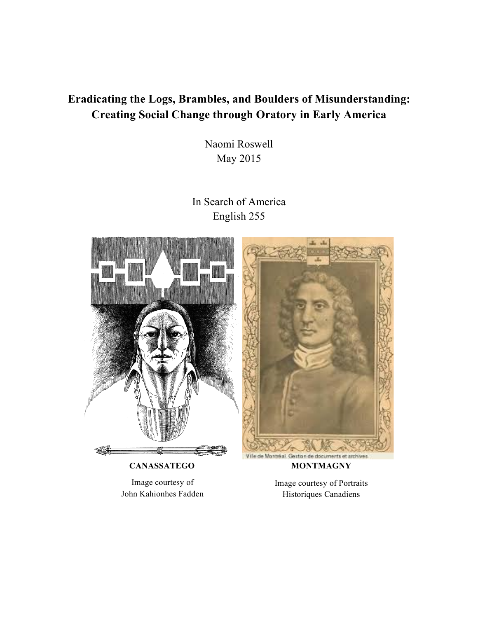# **Eradicating the Logs, Brambles, and Boulders of Misunderstanding: Creating Social Change through Oratory in Early America**

Naomi Roswell May 2015

In Search of America English 255



 **CANASSATEGO MONTMAGNY**

Image courtesy of John Kahionhes Fadden

Image courtesy of Portraits Historiques Canadiens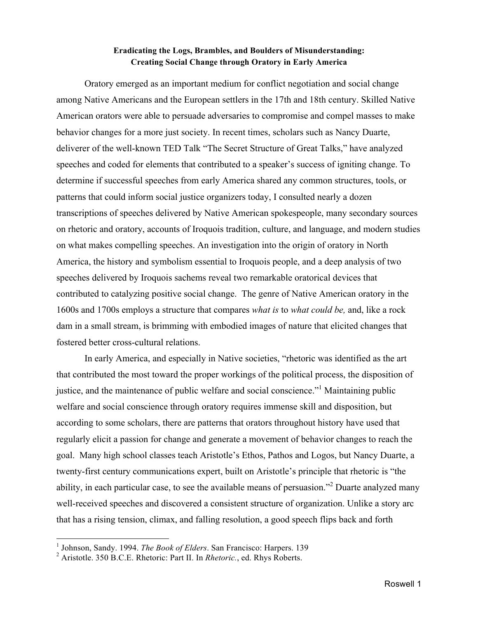## **Eradicating the Logs, Brambles, and Boulders of Misunderstanding: Creating Social Change through Oratory in Early America**

Oratory emerged as an important medium for conflict negotiation and social change among Native Americans and the European settlers in the 17th and 18th century. Skilled Native American orators were able to persuade adversaries to compromise and compel masses to make behavior changes for a more just society. In recent times, scholars such as Nancy Duarte, deliverer of the well-known TED Talk "The Secret Structure of Great Talks," have analyzed speeches and coded for elements that contributed to a speaker's success of igniting change. To determine if successful speeches from early America shared any common structures, tools, or patterns that could inform social justice organizers today, I consulted nearly a dozen transcriptions of speeches delivered by Native American spokespeople, many secondary sources on rhetoric and oratory, accounts of Iroquois tradition, culture, and language, and modern studies on what makes compelling speeches. An investigation into the origin of oratory in North America, the history and symbolism essential to Iroquois people, and a deep analysis of two speeches delivered by Iroquois sachems reveal two remarkable oratorical devices that contributed to catalyzing positive social change. The genre of Native American oratory in the 1600s and 1700s employs a structure that compares *what is* to *what could be,* and, like a rock dam in a small stream, is brimming with embodied images of nature that elicited changes that fostered better cross-cultural relations.

In early America, and especially in Native societies, "rhetoric was identified as the art that contributed the most toward the proper workings of the political process, the disposition of justice, and the maintenance of public welfare and social conscience."<sup>1</sup> Maintaining public welfare and social conscience through oratory requires immense skill and disposition, but according to some scholars, there are patterns that orators throughout history have used that regularly elicit a passion for change and generate a movement of behavior changes to reach the goal. Many high school classes teach Aristotle's Ethos, Pathos and Logos, but Nancy Duarte, a twenty-first century communications expert, built on Aristotle's principle that rhetoric is "the ability, in each particular case, to see the available means of persuasion."<sup>2</sup> Duarte analyzed many well-received speeches and discovered a consistent structure of organization. Unlike a story arc that has a rising tension, climax, and falling resolution, a good speech flips back and forth

<sup>1</sup> Johnson, Sandy. 1994. *The Book of Elders*. San Francisco: Harpers. 139

<sup>2</sup> Aristotle. 350 B.C.E. Rhetoric: Part II. In *Rhetoric.*, ed. Rhys Roberts.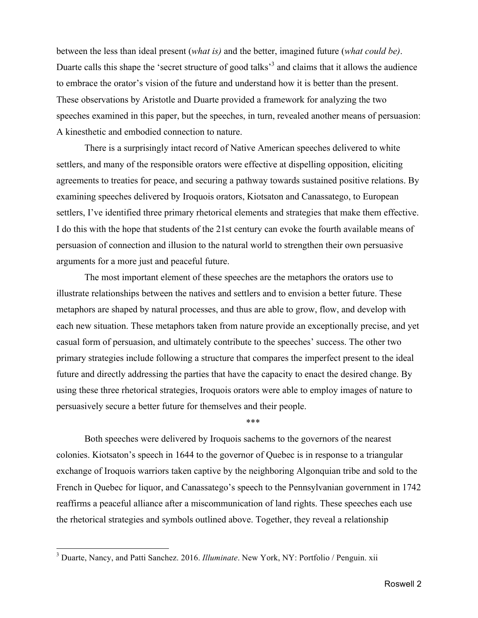between the less than ideal present (*what is)* and the better, imagined future (*what could be)*. Duarte calls this shape the 'secret structure of good talks<sup>3</sup> and claims that it allows the audience to embrace the orator's vision of the future and understand how it is better than the present. These observations by Aristotle and Duarte provided a framework for analyzing the two speeches examined in this paper, but the speeches, in turn, revealed another means of persuasion: A kinesthetic and embodied connection to nature.

There is a surprisingly intact record of Native American speeches delivered to white settlers, and many of the responsible orators were effective at dispelling opposition, eliciting agreements to treaties for peace, and securing a pathway towards sustained positive relations. By examining speeches delivered by Iroquois orators, Kiotsaton and Canassatego, to European settlers, I've identified three primary rhetorical elements and strategies that make them effective. I do this with the hope that students of the 21st century can evoke the fourth available means of persuasion of connection and illusion to the natural world to strengthen their own persuasive arguments for a more just and peaceful future.

The most important element of these speeches are the metaphors the orators use to illustrate relationships between the natives and settlers and to envision a better future. These metaphors are shaped by natural processes, and thus are able to grow, flow, and develop with each new situation. These metaphors taken from nature provide an exceptionally precise, and yet casual form of persuasion, and ultimately contribute to the speeches' success. The other two primary strategies include following a structure that compares the imperfect present to the ideal future and directly addressing the parties that have the capacity to enact the desired change. By using these three rhetorical strategies, Iroquois orators were able to employ images of nature to persuasively secure a better future for themselves and their people.

\*\*\*

Both speeches were delivered by Iroquois sachems to the governors of the nearest colonies. Kiotsaton's speech in 1644 to the governor of Quebec is in response to a triangular exchange of Iroquois warriors taken captive by the neighboring Algonquian tribe and sold to the French in Quebec for liquor, and Canassatego's speech to the Pennsylvanian government in 1742 reaffirms a peaceful alliance after a miscommunication of land rights. These speeches each use the rhetorical strategies and symbols outlined above. Together, they reveal a relationship

<sup>3</sup> Duarte, Nancy, and Patti Sanchez. 2016. *Illuminate*. New York, NY: Portfolio / Penguin. xii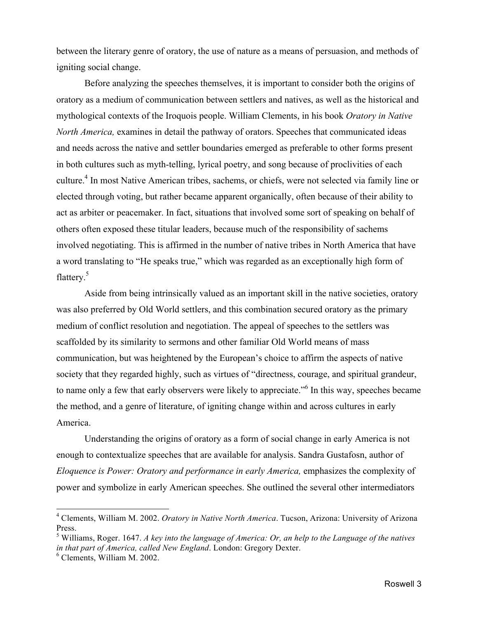between the literary genre of oratory, the use of nature as a means of persuasion, and methods of igniting social change.

Before analyzing the speeches themselves, it is important to consider both the origins of oratory as a medium of communication between settlers and natives, as well as the historical and mythological contexts of the Iroquois people. William Clements, in his book *Oratory in Native North America,* examines in detail the pathway of orators. Speeches that communicated ideas and needs across the native and settler boundaries emerged as preferable to other forms present in both cultures such as myth-telling, lyrical poetry, and song because of proclivities of each culture.4 In most Native American tribes, sachems, or chiefs, were not selected via family line or elected through voting, but rather became apparent organically, often because of their ability to act as arbiter or peacemaker. In fact, situations that involved some sort of speaking on behalf of others often exposed these titular leaders, because much of the responsibility of sachems involved negotiating. This is affirmed in the number of native tribes in North America that have a word translating to "He speaks true," which was regarded as an exceptionally high form of flattery.<sup>5</sup>

Aside from being intrinsically valued as an important skill in the native societies, oratory was also preferred by Old World settlers, and this combination secured oratory as the primary medium of conflict resolution and negotiation. The appeal of speeches to the settlers was scaffolded by its similarity to sermons and other familiar Old World means of mass communication, but was heightened by the European's choice to affirm the aspects of native society that they regarded highly, such as virtues of "directness, courage, and spiritual grandeur, to name only a few that early observers were likely to appreciate."6 In this way, speeches became the method, and a genre of literature, of igniting change within and across cultures in early America.

Understanding the origins of oratory as a form of social change in early America is not enough to contextualize speeches that are available for analysis. Sandra Gustafosn, author of *Eloquence is Power: Oratory and performance in early America, emphasizes the complexity of* power and symbolize in early American speeches. She outlined the several other intermediators

<sup>4</sup> Clements, William M. 2002. *Oratory in Native North America*. Tucson, Arizona: University of Arizona Press.

<sup>5</sup> Williams, Roger. 1647. *A key into the language of America: Or, an help to the Language of the natives in that part of America, called New England*. London: Gregory Dexter.

<sup>6</sup> Clements, William M. 2002.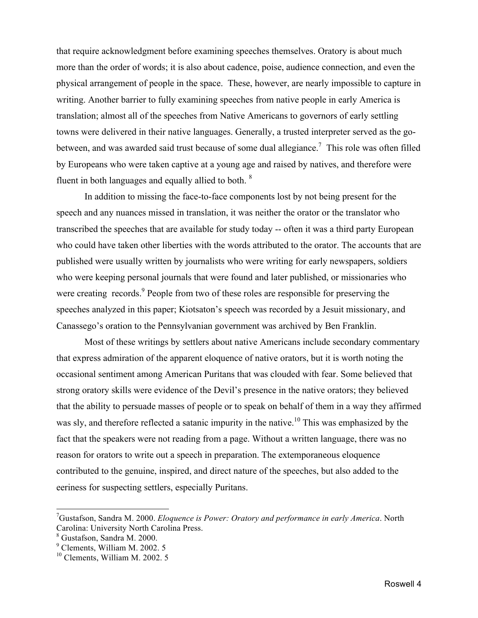that require acknowledgment before examining speeches themselves. Oratory is about much more than the order of words; it is also about cadence, poise, audience connection, and even the physical arrangement of people in the space. These, however, are nearly impossible to capture in writing. Another barrier to fully examining speeches from native people in early America is translation; almost all of the speeches from Native Americans to governors of early settling towns were delivered in their native languages. Generally, a trusted interpreter served as the gobetween, and was awarded said trust because of some dual allegiance.<sup>7</sup> This role was often filled by Europeans who were taken captive at a young age and raised by natives, and therefore were fluent in both languages and equally allied to both. <sup>8</sup>

In addition to missing the face-to-face components lost by not being present for the speech and any nuances missed in translation, it was neither the orator or the translator who transcribed the speeches that are available for study today -- often it was a third party European who could have taken other liberties with the words attributed to the orator. The accounts that are published were usually written by journalists who were writing for early newspapers, soldiers who were keeping personal journals that were found and later published, or missionaries who were creating records.<sup>9</sup> People from two of these roles are responsible for preserving the speeches analyzed in this paper; Kiotsaton's speech was recorded by a Jesuit missionary, and Canassego's oration to the Pennsylvanian government was archived by Ben Franklin.

Most of these writings by settlers about native Americans include secondary commentary that express admiration of the apparent eloquence of native orators, but it is worth noting the occasional sentiment among American Puritans that was clouded with fear. Some believed that strong oratory skills were evidence of the Devil's presence in the native orators; they believed that the ability to persuade masses of people or to speak on behalf of them in a way they affirmed was sly, and therefore reflected a satanic impurity in the native.<sup>10</sup> This was emphasized by the fact that the speakers were not reading from a page. Without a written language, there was no reason for orators to write out a speech in preparation. The extemporaneous eloquence contributed to the genuine, inspired, and direct nature of the speeches, but also added to the eeriness for suspecting settlers, especially Puritans.

<sup>–&</sup>lt;br>7 Gustafson, Sandra M. 2000. *Eloquence is Power: Oratory and performance in early America*. North Carolina: University North Carolina Press.

<sup>8</sup> Gustafson, Sandra M. 2000.

<sup>9</sup> Clements, William M. 2002. 5

<sup>10</sup> Clements, William M. 2002. 5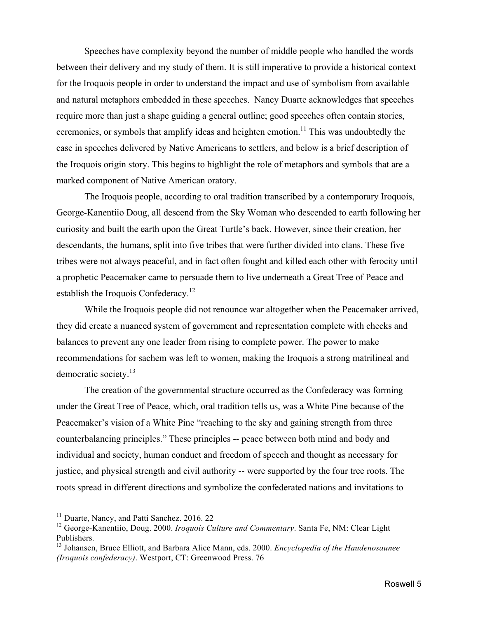Speeches have complexity beyond the number of middle people who handled the words between their delivery and my study of them. It is still imperative to provide a historical context for the Iroquois people in order to understand the impact and use of symbolism from available and natural metaphors embedded in these speeches. Nancy Duarte acknowledges that speeches require more than just a shape guiding a general outline; good speeches often contain stories, ceremonies, or symbols that amplify ideas and heighten emotion.<sup>11</sup> This was undoubtedly the case in speeches delivered by Native Americans to settlers, and below is a brief description of the Iroquois origin story. This begins to highlight the role of metaphors and symbols that are a marked component of Native American oratory.

The Iroquois people, according to oral tradition transcribed by a contemporary Iroquois, George-Kanentiio Doug, all descend from the Sky Woman who descended to earth following her curiosity and built the earth upon the Great Turtle's back. However, since their creation, her descendants, the humans, split into five tribes that were further divided into clans. These five tribes were not always peaceful, and in fact often fought and killed each other with ferocity until a prophetic Peacemaker came to persuade them to live underneath a Great Tree of Peace and establish the Iroquois Confederacy.<sup>12</sup>

While the Iroquois people did not renounce war altogether when the Peacemaker arrived, they did create a nuanced system of government and representation complete with checks and balances to prevent any one leader from rising to complete power. The power to make recommendations for sachem was left to women, making the Iroquois a strong matrilineal and democratic society.<sup>13</sup>

The creation of the governmental structure occurred as the Confederacy was forming under the Great Tree of Peace, which, oral tradition tells us, was a White Pine because of the Peacemaker's vision of a White Pine "reaching to the sky and gaining strength from three counterbalancing principles." These principles -- peace between both mind and body and individual and society, human conduct and freedom of speech and thought as necessary for justice, and physical strength and civil authority -- were supported by the four tree roots. The roots spread in different directions and symbolize the confederated nations and invitations to

<sup>&</sup>lt;sup>11</sup> Duarte, Nancy, and Patti Sanchez. 2016. 22

<sup>&</sup>lt;sup>12</sup> George-Kanentiio, Doug. 2000. *Iroquois Culture and Commentary*. Santa Fe, NM: Clear Light Publishers.

<sup>13</sup> Johansen, Bruce Elliott, and Barbara Alice Mann, eds. 2000. *Encyclopedia of the Haudenosaunee (Iroquois confederacy)*. Westport, CT: Greenwood Press. 76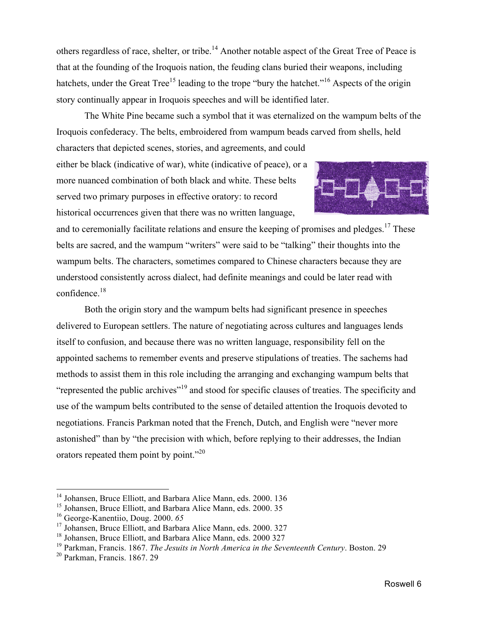others regardless of race, shelter, or tribe.<sup>14</sup> Another notable aspect of the Great Tree of Peace is that at the founding of the Iroquois nation, the feuding clans buried their weapons, including hatchets, under the Great Tree<sup>15</sup> leading to the trope "bury the hatchet."<sup>16</sup> Aspects of the origin story continually appear in Iroquois speeches and will be identified later.

The White Pine became such a symbol that it was eternalized on the wampum belts of the Iroquois confederacy. The belts, embroidered from wampum beads carved from shells, held

characters that depicted scenes, stories, and agreements, and could either be black (indicative of war), white (indicative of peace), or a more nuanced combination of both black and white. These belts served two primary purposes in effective oratory: to record historical occurrences given that there was no written language,



and to ceremonially facilitate relations and ensure the keeping of promises and pledges.<sup>17</sup> These belts are sacred, and the wampum "writers" were said to be "talking" their thoughts into the wampum belts. The characters, sometimes compared to Chinese characters because they are understood consistently across dialect, had definite meanings and could be later read with confidence.<sup>18</sup>

Both the origin story and the wampum belts had significant presence in speeches delivered to European settlers. The nature of negotiating across cultures and languages lends itself to confusion, and because there was no written language, responsibility fell on the appointed sachems to remember events and preserve stipulations of treaties. The sachems had methods to assist them in this role including the arranging and exchanging wampum belts that "represented the public archives"<sup>19</sup> and stood for specific clauses of treaties. The specificity and use of the wampum belts contributed to the sense of detailed attention the Iroquois devoted to negotiations. Francis Parkman noted that the French, Dutch, and English were "never more astonished" than by "the precision with which, before replying to their addresses, the Indian orators repeated them point by point."<sup>20</sup>

<sup>&</sup>lt;sup>14</sup> Johansen, Bruce Elliott, and Barbara Alice Mann, eds. 2000. 136

<sup>&</sup>lt;sup>15</sup> Johansen, Bruce Elliott, and Barbara Alice Mann, eds. 2000. 35

<sup>16</sup> George-Kanentiio, Doug. 2000. *65*

<sup>&</sup>lt;sup>17</sup> Johansen, Bruce Elliott, and Barbara Alice Mann, eds. 2000. 327

<sup>&</sup>lt;sup>18</sup> Johansen, Bruce Elliott, and Barbara Alice Mann, eds. 2000 327

<sup>19</sup> Parkman, Francis. 1867. *The Jesuits in North America in the Seventeenth Century*. Boston. 29

<sup>20</sup> Parkman, Francis. 1867. 29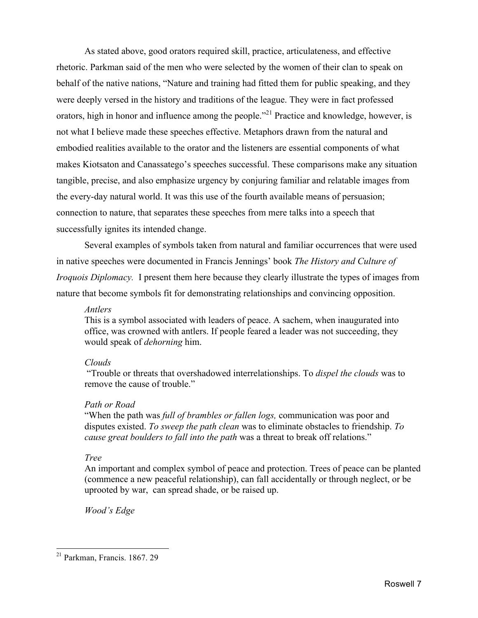As stated above, good orators required skill, practice, articulateness, and effective rhetoric. Parkman said of the men who were selected by the women of their clan to speak on behalf of the native nations, "Nature and training had fitted them for public speaking, and they were deeply versed in the history and traditions of the league. They were in fact professed orators, high in honor and influence among the people."<sup>21</sup> Practice and knowledge, however, is not what I believe made these speeches effective. Metaphors drawn from the natural and embodied realities available to the orator and the listeners are essential components of what makes Kiotsaton and Canassatego's speeches successful. These comparisons make any situation tangible, precise, and also emphasize urgency by conjuring familiar and relatable images from the every-day natural world. It was this use of the fourth available means of persuasion; connection to nature, that separates these speeches from mere talks into a speech that successfully ignites its intended change.

Several examples of symbols taken from natural and familiar occurrences that were used in native speeches were documented in Francis Jennings' book *The History and Culture of Iroquois Diplomacy.* I present them here because they clearly illustrate the types of images from nature that become symbols fit for demonstrating relationships and convincing opposition.

### *Antlers*

This is a symbol associated with leaders of peace. A sachem, when inaugurated into office, was crowned with antlers. If people feared a leader was not succeeding, they would speak of *dehorning* him.

### *Clouds*

"Trouble or threats that overshadowed interrelationships. To *dispel the clouds* was to remove the cause of trouble."

### *Path or Road*

"When the path was *full of brambles or fallen logs,* communication was poor and disputes existed. *To sweep the path clean* was to eliminate obstacles to friendship. *To cause great boulders to fall into the path* was a threat to break off relations."

### *Tree*

An important and complex symbol of peace and protection. Trees of peace can be planted (commence a new peaceful relationship), can fall accidentally or through neglect, or be uprooted by war, can spread shade, or be raised up.

*Wood's Edge*

<sup>21</sup> Parkman, Francis. 1867. 29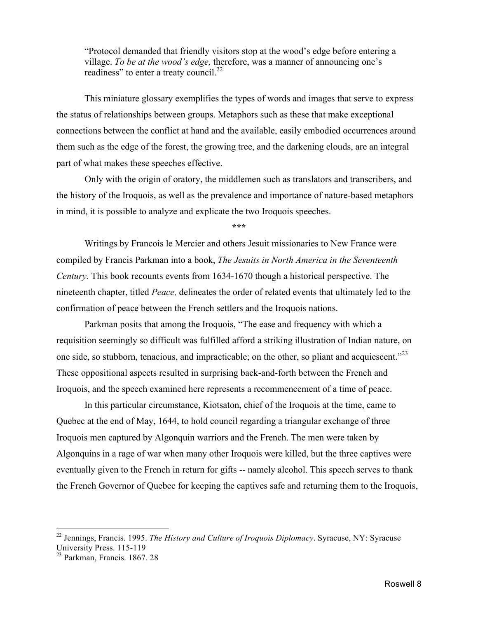"Protocol demanded that friendly visitors stop at the wood's edge before entering a village. *To be at the wood's edge,* therefore, was a manner of announcing one's readiness" to enter a treaty council.<sup>22</sup>

This miniature glossary exemplifies the types of words and images that serve to express the status of relationships between groups. Metaphors such as these that make exceptional connections between the conflict at hand and the available, easily embodied occurrences around them such as the edge of the forest, the growing tree, and the darkening clouds, are an integral part of what makes these speeches effective.

Only with the origin of oratory, the middlemen such as translators and transcribers, and the history of the Iroquois, as well as the prevalence and importance of nature-based metaphors in mind, it is possible to analyze and explicate the two Iroquois speeches.

**\*\*\***

Writings by Francois le Mercier and others Jesuit missionaries to New France were compiled by Francis Parkman into a book, *The Jesuits in North America in the Seventeenth Century.* This book recounts events from 1634-1670 though a historical perspective. The nineteenth chapter, titled *Peace,* delineates the order of related events that ultimately led to the confirmation of peace between the French settlers and the Iroquois nations.

Parkman posits that among the Iroquois, "The ease and frequency with which a requisition seemingly so difficult was fulfilled afford a striking illustration of Indian nature, on one side, so stubborn, tenacious, and impracticable; on the other, so pliant and acquiescent."23 These oppositional aspects resulted in surprising back-and-forth between the French and Iroquois, and the speech examined here represents a recommencement of a time of peace.

In this particular circumstance, Kiotsaton, chief of the Iroquois at the time, came to Quebec at the end of May, 1644, to hold council regarding a triangular exchange of three Iroquois men captured by Algonquin warriors and the French. The men were taken by Algonquins in a rage of war when many other Iroquois were killed, but the three captives were eventually given to the French in return for gifts -- namely alcohol. This speech serves to thank the French Governor of Quebec for keeping the captives safe and returning them to the Iroquois,

<sup>22</sup> Jennings, Francis. 1995. *The History and Culture of Iroquois Diplomacy*. Syracuse, NY: Syracuse University Press. 115-119

<sup>23</sup> Parkman, Francis. 1867. 28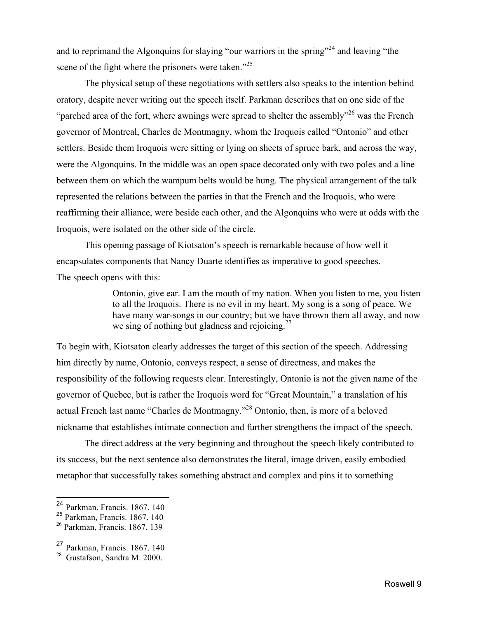and to reprimand the Algonquins for slaying "our warriors in the spring"<sup>24</sup> and leaving "the scene of the fight where the prisoners were taken."<sup>25</sup>

The physical setup of these negotiations with settlers also speaks to the intention behind oratory, despite never writing out the speech itself. Parkman describes that on one side of the "parched area of the fort, where awnings were spread to shelter the assembly"<sup>26</sup> was the French governor of Montreal, Charles de Montmagny, whom the Iroquois called "Ontonio" and other settlers. Beside them Iroquois were sitting or lying on sheets of spruce bark, and across the way, were the Algonquins. In the middle was an open space decorated only with two poles and a line between them on which the wampum belts would be hung. The physical arrangement of the talk represented the relations between the parties in that the French and the Iroquois, who were reaffirming their alliance, were beside each other, and the Algonquins who were at odds with the Iroquois, were isolated on the other side of the circle.

This opening passage of Kiotsaton's speech is remarkable because of how well it encapsulates components that Nancy Duarte identifies as imperative to good speeches. The speech opens with this:

> Ontonio, give ear. I am the mouth of my nation. When you listen to me, you listen to all the Iroquois. There is no evil in my heart. My song is a song of peace. We have many war-songs in our country; but we have thrown them all away, and now we sing of nothing but gladness and rejoicing.<sup>27</sup>

To begin with, Kiotsaton clearly addresses the target of this section of the speech. Addressing him directly by name, Ontonio, conveys respect, a sense of directness, and makes the responsibility of the following requests clear. Interestingly, Ontonio is not the given name of the governor of Quebec, but is rather the Iroquois word for "Great Mountain," a translation of his actual French last name "Charles de Montmagny."28 Ontonio, then, is more of a beloved nickname that establishes intimate connection and further strengthens the impact of the speech.

The direct address at the very beginning and throughout the speech likely contributed to its success, but the next sentence also demonstrates the literal, image driven, easily embodied metaphor that successfully takes something abstract and complex and pins it to something

 <sup>24</sup> Parkman, Francis. 1867. 140

<sup>25</sup> Parkman, Francis. 1867. 140

<sup>26</sup> Parkman, Francis. 1867. 139

<sup>27</sup> Parkman, Francis. 1867. 140

<sup>28</sup> Gustafson, Sandra M. 2000.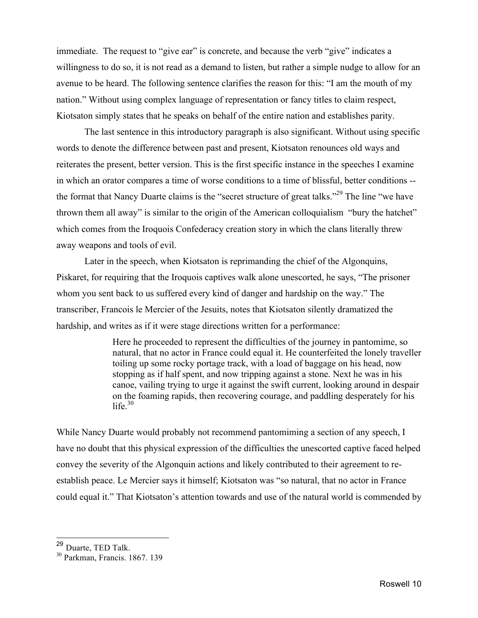immediate. The request to "give ear" is concrete, and because the verb "give" indicates a willingness to do so, it is not read as a demand to listen, but rather a simple nudge to allow for an avenue to be heard. The following sentence clarifies the reason for this: "I am the mouth of my nation." Without using complex language of representation or fancy titles to claim respect, Kiotsaton simply states that he speaks on behalf of the entire nation and establishes parity.

The last sentence in this introductory paragraph is also significant. Without using specific words to denote the difference between past and present, Kiotsaton renounces old ways and reiterates the present, better version. This is the first specific instance in the speeches I examine in which an orator compares a time of worse conditions to a time of blissful, better conditions - the format that Nancy Duarte claims is the "secret structure of great talks."29 The line "we have thrown them all away" is similar to the origin of the American colloquialism "bury the hatchet" which comes from the Iroquois Confederacy creation story in which the clans literally threw away weapons and tools of evil.

Later in the speech, when Kiotsaton is reprimanding the chief of the Algonquins, Piskaret, for requiring that the Iroquois captives walk alone unescorted, he says, "The prisoner whom you sent back to us suffered every kind of danger and hardship on the way." The transcriber, Francois le Mercier of the Jesuits, notes that Kiotsaton silently dramatized the hardship, and writes as if it were stage directions written for a performance:

> Here he proceeded to represent the difficulties of the journey in pantomime, so natural, that no actor in France could equal it. He counterfeited the lonely traveller toiling up some rocky portage track, with a load of baggage on his head, now stopping as if half spent, and now tripping against a stone. Next he was in his canoe, vailing trying to urge it against the swift current, looking around in despair on the foaming rapids, then recovering courage, and paddling desperately for his life $^{30}$

While Nancy Duarte would probably not recommend pantomining a section of any speech, I have no doubt that this physical expression of the difficulties the unescorted captive faced helped convey the severity of the Algonquin actions and likely contributed to their agreement to reestablish peace. Le Mercier says it himself; Kiotsaton was "so natural, that no actor in France could equal it." That Kiotsaton's attention towards and use of the natural world is commended by

 <sup>29</sup> Duarte, TED Talk.

<sup>30</sup> Parkman, Francis. 1867. 139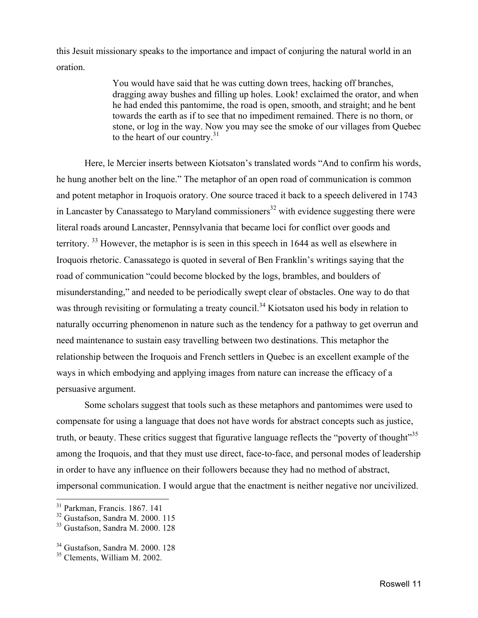this Jesuit missionary speaks to the importance and impact of conjuring the natural world in an oration.

> You would have said that he was cutting down trees, hacking off branches, dragging away bushes and filling up holes. Look! exclaimed the orator, and when he had ended this pantomime, the road is open, smooth, and straight; and he bent towards the earth as if to see that no impediment remained. There is no thorn, or stone, or log in the way. Now you may see the smoke of our villages from Quebec to the heart of our country. $31$

Here, le Mercier inserts between Kiotsaton's translated words "And to confirm his words, he hung another belt on the line." The metaphor of an open road of communication is common and potent metaphor in Iroquois oratory. One source traced it back to a speech delivered in 1743 in Lancaster by Canassatego to Maryland commissioners<sup>32</sup> with evidence suggesting there were literal roads around Lancaster, Pennsylvania that became loci for conflict over goods and territory. <sup>33</sup> However, the metaphor is is seen in this speech in 1644 as well as elsewhere in Iroquois rhetoric. Canassatego is quoted in several of Ben Franklin's writings saying that the road of communication "could become blocked by the logs, brambles, and boulders of misunderstanding," and needed to be periodically swept clear of obstacles. One way to do that was through revisiting or formulating a treaty council.<sup>34</sup> Kiotsaton used his body in relation to naturally occurring phenomenon in nature such as the tendency for a pathway to get overrun and need maintenance to sustain easy travelling between two destinations. This metaphor the relationship between the Iroquois and French settlers in Quebec is an excellent example of the ways in which embodying and applying images from nature can increase the efficacy of a persuasive argument.

Some scholars suggest that tools such as these metaphors and pantomimes were used to compensate for using a language that does not have words for abstract concepts such as justice, truth, or beauty. These critics suggest that figurative language reflects the "poverty of thought"<sup>35</sup> among the Iroquois, and that they must use direct, face-to-face, and personal modes of leadership in order to have any influence on their followers because they had no method of abstract, impersonal communication. I would argue that the enactment is neither negative nor uncivilized.

<sup>31</sup> Parkman, Francis. 1867. 141

 $32$  Gustafson, Sandra M. 2000. 115

<sup>33</sup> Gustafson, Sandra M. 2000. 128

<sup>34</sup> Gustafson, Sandra M. 2000. 128

<sup>35</sup> Clements, William M. 2002.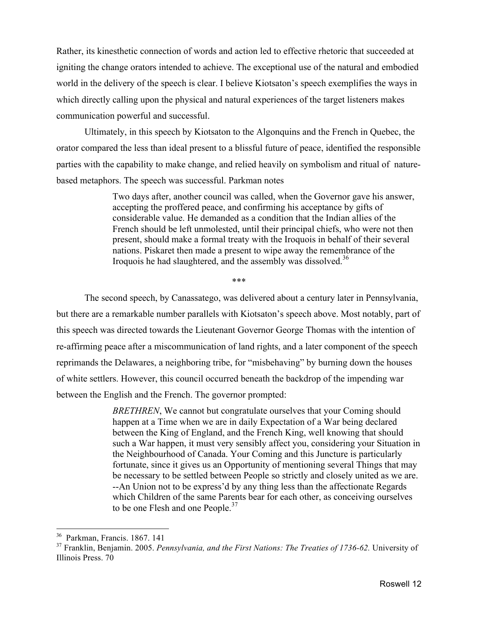Rather, its kinesthetic connection of words and action led to effective rhetoric that succeeded at igniting the change orators intended to achieve. The exceptional use of the natural and embodied world in the delivery of the speech is clear. I believe Kiotsaton's speech exemplifies the ways in which directly calling upon the physical and natural experiences of the target listeners makes communication powerful and successful.

Ultimately, in this speech by Kiotsaton to the Algonquins and the French in Quebec, the orator compared the less than ideal present to a blissful future of peace, identified the responsible parties with the capability to make change, and relied heavily on symbolism and ritual of naturebased metaphors. The speech was successful. Parkman notes

> Two days after, another council was called, when the Governor gave his answer, accepting the proffered peace, and confirming his acceptance by gifts of considerable value. He demanded as a condition that the Indian allies of the French should be left unmolested, until their principal chiefs, who were not then present, should make a formal treaty with the Iroquois in behalf of their several nations. Piskaret then made a present to wipe away the remembrance of the Iroquois he had slaughtered, and the assembly was dissolved.<sup>36</sup>

> > \*\*\*

The second speech, by Canassatego, was delivered about a century later in Pennsylvania, but there are a remarkable number parallels with Kiotsaton's speech above. Most notably, part of this speech was directed towards the Lieutenant Governor George Thomas with the intention of re-affirming peace after a miscommunication of land rights, and a later component of the speech reprimands the Delawares, a neighboring tribe, for "misbehaving" by burning down the houses of white settlers. However, this council occurred beneath the backdrop of the impending war between the English and the French. The governor prompted:

> *BRETHREN*, We cannot but congratulate ourselves that your Coming should happen at a Time when we are in daily Expectation of a War being declared between the King of England, and the French King, well knowing that should such a War happen, it must very sensibly affect you, considering your Situation in the Neighbourhood of Canada. Your Coming and this Juncture is particularly fortunate, since it gives us an Opportunity of mentioning several Things that may be necessary to be settled between People so strictly and closely united as we are. --An Union not to be express'd by any thing less than the affectionate Regards which Children of the same Parents bear for each other, as conceiving ourselves to be one Flesh and one People.<sup>37</sup>

<sup>36</sup> Parkman, Francis. 1867. 141

<sup>37</sup> Franklin, Benjamin. 2005. *Pennsylvania, and the First Nations: The Treaties of 1736-62.* University of Illinois Press. 70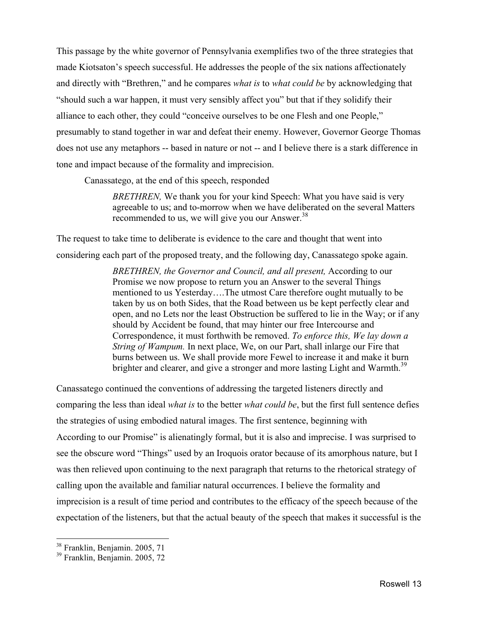This passage by the white governor of Pennsylvania exemplifies two of the three strategies that made Kiotsaton's speech successful. He addresses the people of the six nations affectionately and directly with "Brethren," and he compares *what is* to *what could be* by acknowledging that "should such a war happen, it must very sensibly affect you" but that if they solidify their alliance to each other, they could "conceive ourselves to be one Flesh and one People," presumably to stand together in war and defeat their enemy. However, Governor George Thomas does not use any metaphors -- based in nature or not -- and I believe there is a stark difference in tone and impact because of the formality and imprecision.

Canassatego, at the end of this speech, responded

*BRETHREN,* We thank you for your kind Speech: What you have said is very agreeable to us; and to-morrow when we have deliberated on the several Matters recommended to us, we will give you our Answer.<sup>38</sup>

The request to take time to deliberate is evidence to the care and thought that went into considering each part of the proposed treaty, and the following day, Canassatego spoke again.

> *BRETHREN, the Governor and Council, and all present,* According to our Promise we now propose to return you an Answer to the several Things mentioned to us Yesterday….The utmost Care therefore ought mutually to be taken by us on both Sides, that the Road between us be kept perfectly clear and open, and no Lets nor the least Obstruction be suffered to lie in the Way; or if any should by Accident be found, that may hinter our free Intercourse and Correspondence, it must forthwith be removed. *To enforce this, We lay down a String of Wampum.* In next place, We, on our Part, shall inlarge our Fire that burns between us. We shall provide more Fewel to increase it and make it burn brighter and clearer, and give a stronger and more lasting Light and Warmth.<sup>39</sup>

Canassatego continued the conventions of addressing the targeted listeners directly and comparing the less than ideal *what is* to the better *what could be*, but the first full sentence defies the strategies of using embodied natural images. The first sentence, beginning with According to our Promise" is alienatingly formal, but it is also and imprecise. I was surprised to see the obscure word "Things" used by an Iroquois orator because of its amorphous nature, but I was then relieved upon continuing to the next paragraph that returns to the rhetorical strategy of calling upon the available and familiar natural occurrences. I believe the formality and imprecision is a result of time period and contributes to the efficacy of the speech because of the expectation of the listeners, but that the actual beauty of the speech that makes it successful is the

<sup>&</sup>lt;sup>38</sup> Franklin, Benjamin. 2005, 71

<sup>39</sup> Franklin, Benjamin. 2005, 72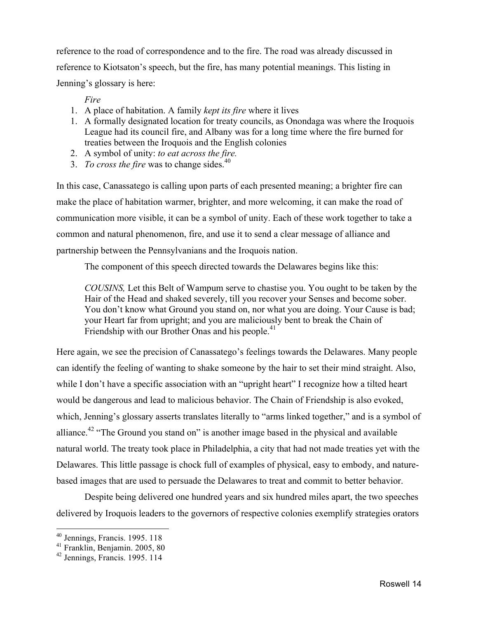reference to the road of correspondence and to the fire. The road was already discussed in reference to Kiotsaton's speech, but the fire, has many potential meanings. This listing in Jenning's glossary is here:

### *Fire*

- 1. A place of habitation. A family *kept its fire* where it lives
- 1. A formally designated location for treaty councils, as Onondaga was where the Iroquois League had its council fire, and Albany was for a long time where the fire burned for treaties between the Iroquois and the English colonies
- 2. A symbol of unity: *to eat across the fire.*
- 3. *To cross the fire* was to change sides.<sup>40</sup>

In this case, Canassatego is calling upon parts of each presented meaning; a brighter fire can make the place of habitation warmer, brighter, and more welcoming, it can make the road of communication more visible, it can be a symbol of unity. Each of these work together to take a common and natural phenomenon, fire, and use it to send a clear message of alliance and partnership between the Pennsylvanians and the Iroquois nation.

The component of this speech directed towards the Delawares begins like this:

*COUSINS,* Let this Belt of Wampum serve to chastise you. You ought to be taken by the Hair of the Head and shaked severely, till you recover your Senses and become sober. You don't know what Ground you stand on, nor what you are doing. Your Cause is bad; your Heart far from upright; and you are maliciously bent to break the Chain of Friendship with our Brother Onas and his people.<sup>41</sup>

Here again, we see the precision of Canassatego's feelings towards the Delawares. Many people can identify the feeling of wanting to shake someone by the hair to set their mind straight. Also, while I don't have a specific association with an "upright heart" I recognize how a tilted heart would be dangerous and lead to malicious behavior. The Chain of Friendship is also evoked, which, Jenning's glossary asserts translates literally to "arms linked together," and is a symbol of alliance.<sup>42</sup> "The Ground you stand on" is another image based in the physical and available natural world. The treaty took place in Philadelphia, a city that had not made treaties yet with the Delawares. This little passage is chock full of examples of physical, easy to embody, and naturebased images that are used to persuade the Delawares to treat and commit to better behavior.

Despite being delivered one hundred years and six hundred miles apart, the two speeches delivered by Iroquois leaders to the governors of respective colonies exemplify strategies orators

<sup>&</sup>lt;sup>40</sup> Jennings, Francis. 1995. 118

<sup>41</sup> Franklin, Benjamin. 2005, 80

<sup>42</sup> Jennings, Francis. 1995. 114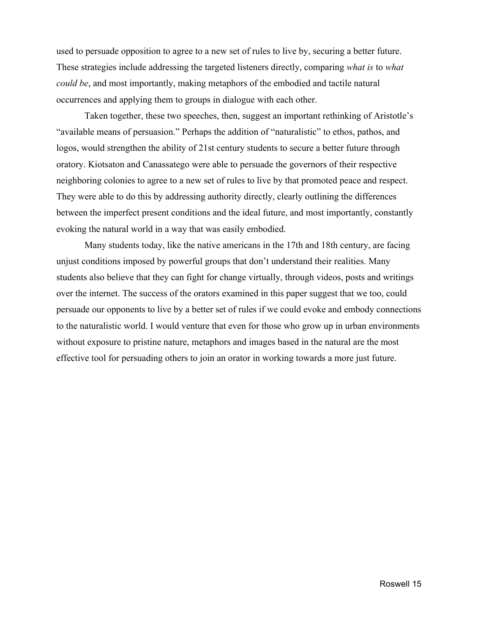used to persuade opposition to agree to a new set of rules to live by, securing a better future. These strategies include addressing the targeted listeners directly, comparing *what is* to *what could be*, and most importantly, making metaphors of the embodied and tactile natural occurrences and applying them to groups in dialogue with each other.

Taken together, these two speeches, then, suggest an important rethinking of Aristotle's "available means of persuasion." Perhaps the addition of "naturalistic" to ethos, pathos, and logos, would strengthen the ability of 21st century students to secure a better future through oratory. Kiotsaton and Canassatego were able to persuade the governors of their respective neighboring colonies to agree to a new set of rules to live by that promoted peace and respect. They were able to do this by addressing authority directly, clearly outlining the differences between the imperfect present conditions and the ideal future, and most importantly, constantly evoking the natural world in a way that was easily embodied.

Many students today, like the native americans in the 17th and 18th century, are facing unjust conditions imposed by powerful groups that don't understand their realities. Many students also believe that they can fight for change virtually, through videos, posts and writings over the internet. The success of the orators examined in this paper suggest that we too, could persuade our opponents to live by a better set of rules if we could evoke and embody connections to the naturalistic world. I would venture that even for those who grow up in urban environments without exposure to pristine nature, metaphors and images based in the natural are the most effective tool for persuading others to join an orator in working towards a more just future.